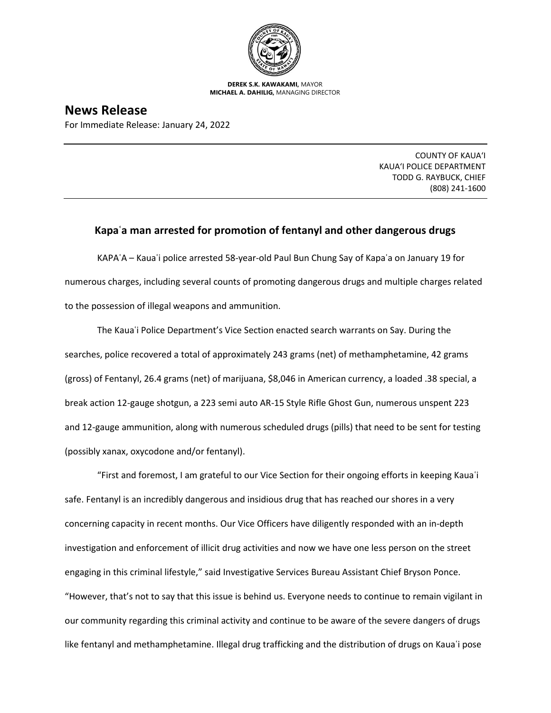

**DEREK S.K. KAWAKAMI,** MAYOR **MICHAEL A. DAHILIG,** MANAGING DIRECTOR

## **News Release**

For Immediate Release: January 24, 2022

COUNTY OF KAUA'I KAUA'I POLICE DEPARTMENT TODD G. RAYBUCK, CHIEF (808) 241-1600

## **Kapaʿa man arrested for promotion of fentanyl and other dangerous drugs**

KAPAʿA – Kauaʿi police arrested 58-year-old Paul Bun Chung Say of Kapaʿa on January 19 for numerous charges, including several counts of promoting dangerous drugs and multiple charges related to the possession of illegal weapons and ammunition.

The Kauaʿi Police Department's Vice Section enacted search warrants on Say. During the searches, police recovered a total of approximately 243 grams (net) of methamphetamine, 42 grams (gross) of Fentanyl, 26.4 grams (net) of marijuana, \$8,046 in American currency, a loaded .38 special, a break action 12-gauge shotgun, a 223 semi auto AR-15 Style Rifle Ghost Gun, numerous unspent 223 and 12-gauge ammunition, along with numerous scheduled drugs (pills) that need to be sent for testing (possibly xanax, oxycodone and/or fentanyl).

"First and foremost, I am grateful to our Vice Section for their ongoing efforts in keeping Kauaʿi safe. Fentanyl is an incredibly dangerous and insidious drug that has reached our shores in a very concerning capacity in recent months. Our Vice Officers have diligently responded with an in-depth investigation and enforcement of illicit drug activities and now we have one less person on the street engaging in this criminal lifestyle," said Investigative Services Bureau Assistant Chief Bryson Ponce. "However, that's not to say that this issue is behind us. Everyone needs to continue to remain vigilant in our community regarding this criminal activity and continue to be aware of the severe dangers of drugs like fentanyl and methamphetamine. Illegal drug trafficking and the distribution of drugs on Kauaʿi pose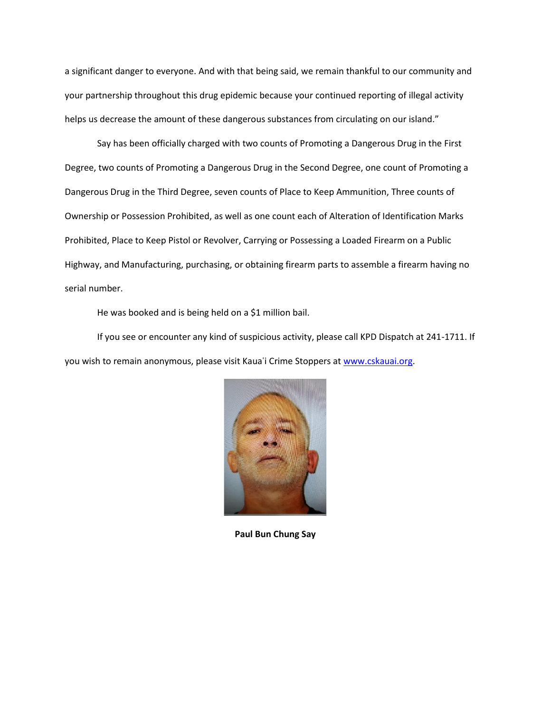a significant danger to everyone. And with that being said, we remain thankful to our community and your partnership throughout this drug epidemic because your continued reporting of illegal activity helps us decrease the amount of these dangerous substances from circulating on our island."

Say has been officially charged with two counts of Promoting a Dangerous Drug in the First Degree, two counts of Promoting a Dangerous Drug in the Second Degree, one count of Promoting a Dangerous Drug in the Third Degree, seven counts of Place to Keep Ammunition, Three counts of Ownership or Possession Prohibited, as well as one count each of Alteration of Identification Marks Prohibited, Place to Keep Pistol or Revolver, Carrying or Possessing a Loaded Firearm on a Public Highway, and Manufacturing, purchasing, or obtaining firearm parts to assemble a firearm having no serial number.

He was booked and is being held on a \$1 million bail.

If you see or encounter any kind of suspicious activity, please call KPD Dispatch at 241-1711. If you wish to remain anonymous, please visit Kaua'i Crime Stoppers at [www.cskauai.org.](http://www.cskauai.org/)



**Paul Bun Chung Say**